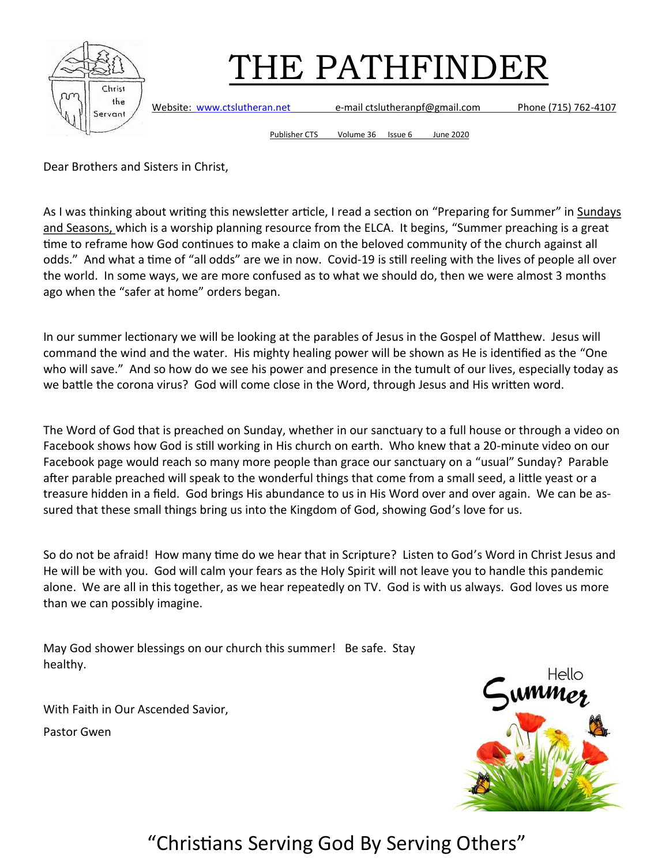

Website: [www.ctslutheran.net](http://www.ctslutheran.net/) e-mail ctslutheranpf@gmail.com Phone (715) 762-4107

Publisher CTS Volume 36 Issue 6 June 2020

Dear Brothers and Sisters in Christ,

As I was thinking about writing this newsletter article, I read a section on "Preparing for Summer" in Sundays and Seasons, which is a worship planning resource from the ELCA. It begins, "Summer preaching is a great time to reframe how God continues to make a claim on the beloved community of the church against all odds." And what a time of "all odds" are we in now. Covid-19 is still reeling with the lives of people all over the world. In some ways, we are more confused as to what we should do, then we were almost 3 months ago when the "safer at home" orders began.

In our summer lectionary we will be looking at the parables of Jesus in the Gospel of Matthew. Jesus will command the wind and the water. His mighty healing power will be shown as He is identified as the "One who will save." And so how do we see his power and presence in the tumult of our lives, especially today as we battle the corona virus? God will come close in the Word, through Jesus and His written word.

The Word of God that is preached on Sunday, whether in our sanctuary to a full house or through a video on Facebook shows how God is still working in His church on earth. Who knew that a 20-minute video on our Facebook page would reach so many more people than grace our sanctuary on a "usual" Sunday? Parable after parable preached will speak to the wonderful things that come from a small seed, a little yeast or a treasure hidden in a field. God brings His abundance to us in His Word over and over again. We can be assured that these small things bring us into the Kingdom of God, showing God's love for us.

So do not be afraid! How many time do we hear that in Scripture? Listen to God's Word in Christ Jesus and He will be with you. God will calm your fears as the Holy Spirit will not leave you to handle this pandemic alone. We are all in this together, as we hear repeatedly on TV. God is with us always. God loves us more than we can possibly imagine.

May God shower blessings on our church this summer! Be safe. Stay healthy.

With Faith in Our Ascended Savior,

Pastor Gwen

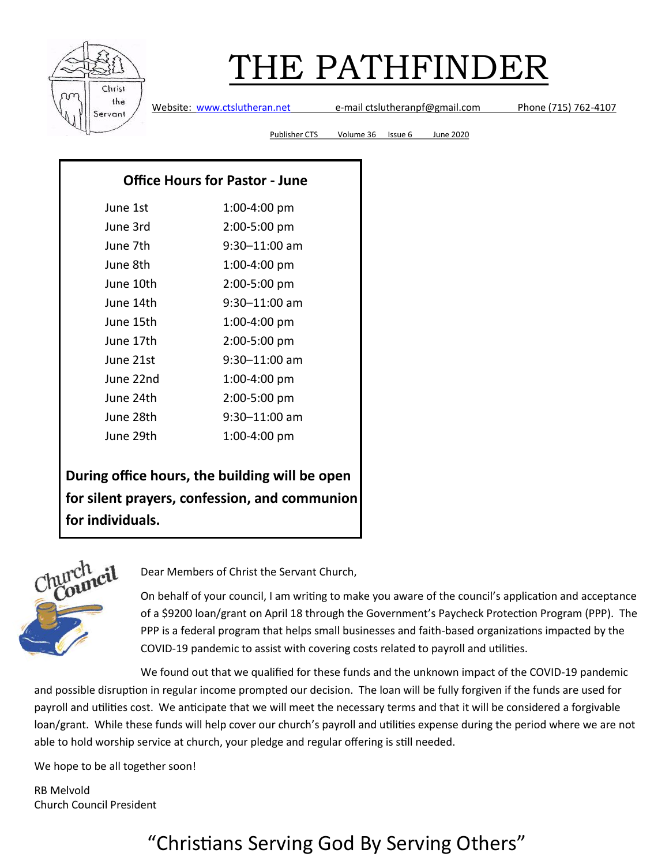

Website: [www.ctslutheran.net](http://www.ctslutheran.net/) e-mail ctslutheranpf@gmail.com Phone (715) 762-4107

Publisher CTS Volume 36 Issue 6 June 2020

#### **Office Hours for Pastor - June**

| June 1st  | 1:00-4:00 pm  |
|-----------|---------------|
| June 3rd  | 2:00-5:00 pm  |
| June 7th  | 9:30–11:00 am |
| June 8th  | 1:00-4:00 pm  |
| June 10th | 2:00-5:00 pm  |
| June 14th | 9:30–11:00 am |
| June 15th | 1:00-4:00 pm  |
| June 17th | 2:00-5:00 pm  |
| June 21st | 9:30-11:00 am |
| June 22nd | 1:00-4:00 pm  |
| June 24th | 2:00-5:00 pm  |
| June 28th | 9:30-11:00 am |
| June 29th | 1:00-4:00 pm  |

**During office hours, the building will be open for silent prayers, confession, and communion for individuals.** 



Dear Members of Christ the Servant Church,

On behalf of your council, I am writing to make you aware of the council's application and acceptance of a \$9200 loan/grant on April 18 through the Government's Paycheck Protection Program (PPP). The PPP is a federal program that helps small businesses and faith-based organizations impacted by the COVID-19 pandemic to assist with covering costs related to payroll and utilities.

We found out that we qualified for these funds and the unknown impact of the COVID-19 pandemic and possible disruption in regular income prompted our decision. The loan will be fully forgiven if the funds are used for payroll and utilities cost. We anticipate that we will meet the necessary terms and that it will be considered a forgivable loan/grant. While these funds will help cover our church's payroll and utilities expense during the period where we are not able to hold worship service at church, your pledge and regular offering is still needed.

We hope to be all together soon!

RB Melvold Church Council President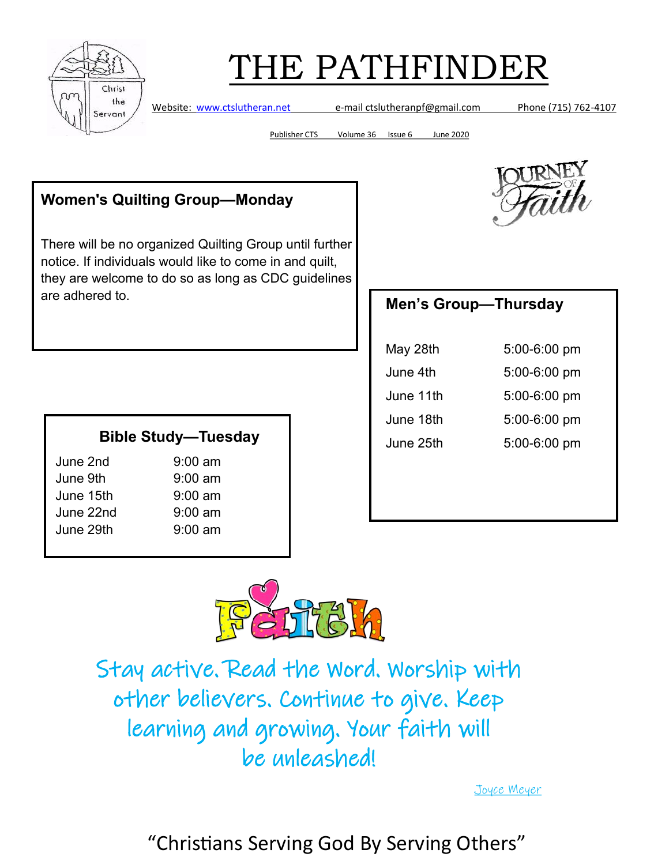

Website: [www.ctslutheran.net](http://www.ctslutheran.net/) e-mail ctslutheranpf@gmail.com Phone (715) 762-4107

Publisher CTS Volume 36 Issue 6 June 2020

### **Women's Quilting Group—Monday**

There will be no organized Quilting Group until further notice. If individuals would like to come in and quilt, they are welcome to do so as long as CDC guidelines are adhered to. **Men's Group—Thursday**

#### **Bible Study—Tuesday**

June 2nd 9:00 am June 9th 9:00 am June 15th 9:00 am June 22nd  $9:00 \text{ am}$ June 29th 9:00 am



| May 28th  | 5:00-6:00 pm |
|-----------|--------------|
| June 4th  | 5:00-6:00 pm |
| June 11th | 5:00-6:00 pm |
| June 18th | 5:00-6:00 pm |
| June 25th | 5:00-6:00 pm |



Stay active. Read the Word. Worship with other believers. Continue to give. Keep learning and growing. Your faith will be unleashed!

[Joyce Meyer](https://www.brainyquote.com/authors/joyce-meyer-quotes)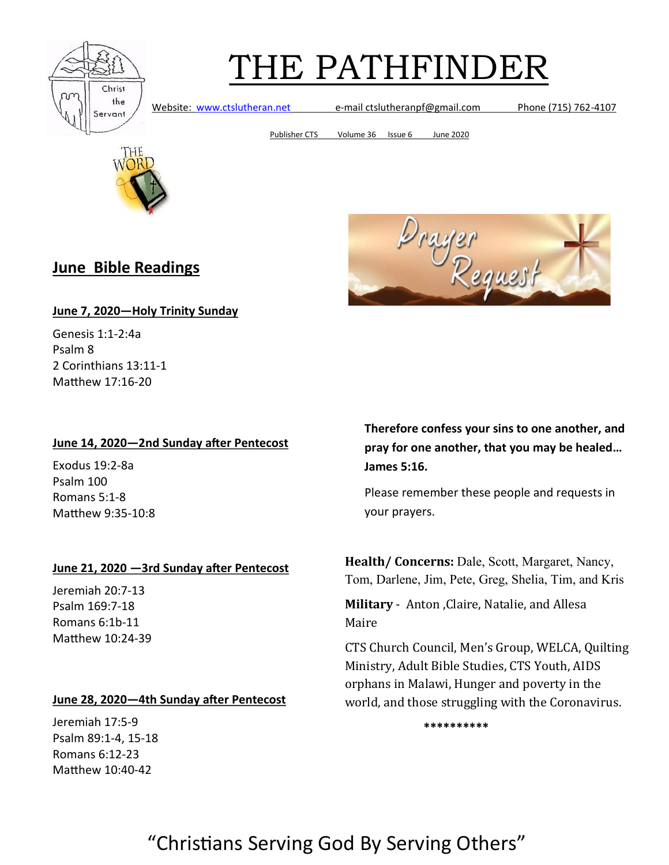

Website: [www.ctslutheran.net](http://www.ctslutheran.net/) e-mail ctslutheranpf@gmail.com Phone (715) 762-4107

Publisher CTS Volume 36 Issue 6 June 2020



### **June Bible Readings**



#### **June 7, 2020—Holy Trinity Sunday**

Genesis 1:1-2:4a Psalm 8 2 Corinthians 13:11-1 Matthew 17:16-20

#### **June 14, 2020—2nd Sunday after Pentecost**

Exodus 19:2-8a Psalm 100 Romans 5:1-8 Matthew 9:35-10:8

#### **June 21, 2020 —3rd Sunday after Pentecost**

Jeremiah 20:7-13 Psalm 169:7-18 Romans 6:1b-11 Matthew 10:24-39

#### **June 28, 2020—4th Sunday after Pentecost**

Jeremiah 17:5-9 Psalm 89:1-4, 15-18 Romans 6:12-23 Matthew 10:40-42

**Therefore confess your sins to one another, and pray for one another, that you may be healed… James 5:16.**

Please remember these people and requests in your prayers.

**Health/ Concerns:** Dale, Scott, Margaret, Nancy, Tom, Darlene, Jim, Pete, Greg, Shelia, Tim, and Kris

**Military** - Anton ,Claire, Natalie, and Allesa Maire

CTS Church Council, Men's Group, WELCA, Quilting Ministry, Adult Bible Studies, CTS Youth, AIDS orphans in Malawi, Hunger and poverty in the world, and those struggling with the Coronavirus.

**\*\*\*\*\*\*\*\*\*\***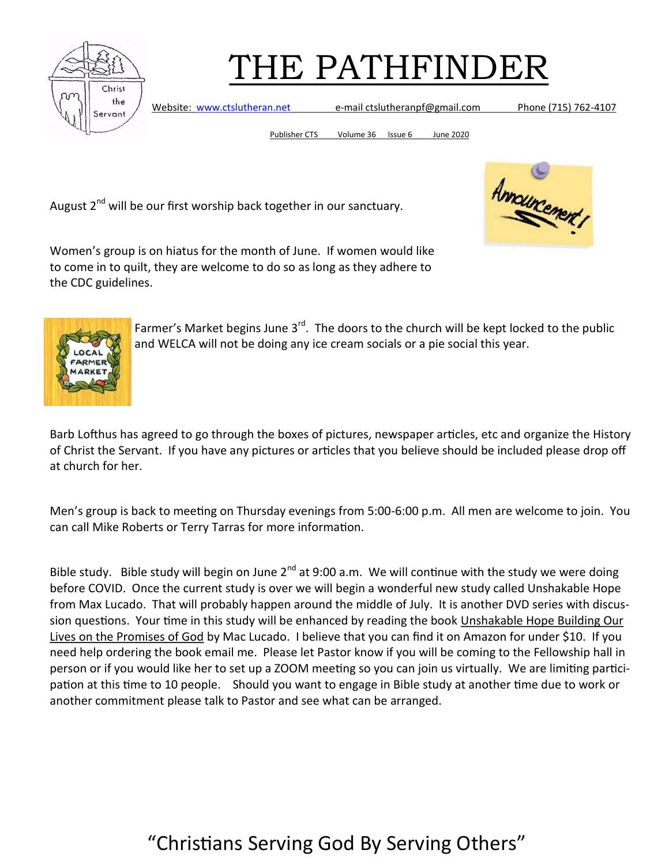

Website: [www.ctslutheran.net](http://www.ctslutheran.net/) e-mail ctslutheranpf@gmail.com Phone (715) 762-4107

Publisher CTS Volume 36 Issue 6 June 2020

August 2<sup>nd</sup> will be our first worship back together in our sanctuary.



Women's group is on hiatus for the month of June. If women would like to come in to quilt, they are welcome to do so as long as they adhere to the CDC guidelines.



Farmer's Market begins June  $3^{rd}$ . The doors to the church will be kept locked to the public and WELCA will not be doing any ice cream socials or a pie social this year.

Barb Lofthus has agreed to go through the boxes of pictures, newspaper articles, etc and organize the History of Christ the Servant. If you have any pictures or articles that you believe should be included please drop off at church for her.

Men's group is back to meeting on Thursday evenings from 5:00-6:00 p.m. All men are welcome to join. You can call Mike Roberts or Terry Tarras for more information.

Bible study. Bible study will begin on June  $2^{nd}$  at 9:00 a.m. We will continue with the study we were doing before COVID. Once the current study is over we will begin a wonderful new study called Unshakable Hope from Max Lucado. That will probably happen around the middle of July. It is another DVD series with discussion questions. Your time in this study will be enhanced by reading the book Unshakable Hope Building Our Lives on the Promises of God by Mac Lucado. I believe that you can find it on Amazon for under \$10. If you need help ordering the book email me. Please let Pastor know if you will be coming to the Fellowship hall in person or if you would like her to set up a ZOOM meeting so you can join us virtually. We are limiting participation at this time to 10 people. Should you want to engage in Bible study at another time due to work or another commitment please talk to Pastor and see what can be arranged.